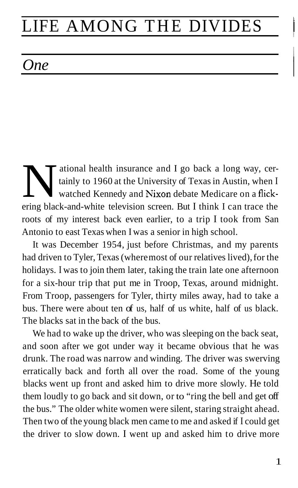# LIFE AMONG THE DIVIDES

# $One$  and  $\Box$

ational health insurance and I go back a long way, certainly to 1960 at the University of Texas in Austin, when I watched Kennedy and Nixon debate Medicare on a flickering black-and-white television screen. But I think I can trace the roots of my interest back even earlier, to a trip I took from San Antonio to east Texas when I was a senior in high school.

It was December 1954, just before Christmas, and my parents had driven to Tyler, Texas (where most of our relatives lived), for the holidays. I was to join them later, taking the train late one afternoon for a six-hour trip that put me in Troop, Texas, around midnight. From Troop, passengers for Tyler, thirty miles away, had to take a bus. There were about ten of us, half of us white, half of us black. The blacks sat in the back of the bus.

We had to wake up the driver, who was sleeping on the back seat, and soon after we got under way it became obvious that he was drunk. The road was narrow and winding. The driver was swerving erratically back and forth all over the road. Some of the young blacks went up front and asked him to drive more slowly. He told them loudly to go back and sit down, or to "ring the bell and get off the bus." The older white women were silent, staring straight ahead. Then two of the young black men came to me and asked if I could get the driver to slow down. I went up and asked him to drive more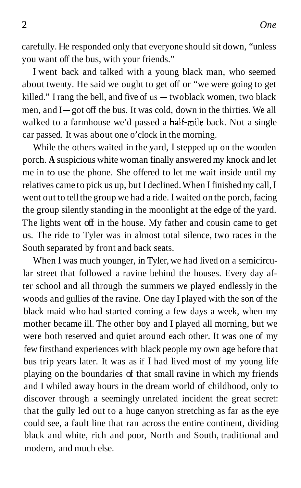carefully. He responded only that everyone should sit down, "unless you want off the bus, with your friends."

I went back and talked with a young black man, who seemed about twenty. He said we ought to get off or "we were going to get killed." I rang the bell, and five of us — twoblack women, two black killed." I rang the bell, and five of  $us - twoblack$  women, two black<br>men, and  $I - got$  off the bus. It was cold, down in the thirties. We all walked to a farmhouse we'd passed a half-mile back. Not a single car passed. It was about one o'clock in the morning.

While the others waited in the yard, I stepped up on the wooden porch. **A** suspicious white woman finally answered my knock and let me in to use the phone. She offered to let me wait inside until my relatives came to pick us up, but I declined. When I finished my call, I went out to tell the group we had a ride. I waited on the porch, facing the group silently standing in the moonlight at the edge of the yard. The lights went off in the house. My father and cousin came to get us. The ride to Tyler was in almost total silence, two races in the South separated by front and back seats.

When I was much younger, in Tyler, we had lived on a semicircular street that followed a ravine behind the houses. Every day after school and all through the summers we played endlessly in the woods and gullies of the ravine. One day I played with the son of the black maid who had started coming a few days a week, when my mother became ill. The other boy and I played all morning, but we were both reserved and quiet around each other. It was one of my few firsthand experiences with black people my own age before that bus trip years later. It was as if I had lived most of my young life playing on the boundaries of that small ravine in which my friends and I whiled away hours in the dream world of childhood, only to discover through a seemingly unrelated incident the great secret: that the gully led out to a huge canyon stretching as far as the eye could see, a fault line that ran across the entire continent, dividing black and white, rich and poor, North and South, traditional and modern, and much else.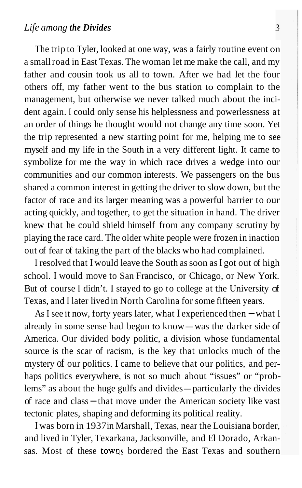The trip to Tyler, looked at one way, was a fairly routine event on a small road in East Texas. The woman let me make the call, and my father and cousin took us all to town. After we had let the four others off, my father went to the bus station to complain to the management, but otherwise we never talked much about the incident again. I could only sense his helplessness and powerlessness at an order of things he thought would not change any time soon. Yet the trip represented a new starting point for me, helping me to see myself and my life in the South in a very different light. It came to symbolize for me the way in which race drives a wedge into our communities and our common interests. We passengers on the bus shared a common interest in getting the driver to slow down, but the factor of race and its larger meaning was a powerful barrier to our acting quickly, and together, to get the situation in hand. The driver knew that he could shield himself from any company scrutiny by playing the race card. The older white people were frozen in inaction out of fear of taking the part of the blacks who had complained.

I resolved that I would leave the South as soon as I got out of high school. I would move to San Francisco, or Chicago, or New York. But of course I didn't. I stayed to go to college at the University of Texas, and I later lived in North Carolina for some fifteen years.

As I see it now, forty years later, what I experienced then  $-\text{what I}$ already in some sense had begun to know- was the darker side of America. Our divided body politic, a division whose fundamental source is the scar of racism, is the key that unlocks much of the mystery of our politics. I came to believe that our politics, and perhaps politics everywhere, is not so much about "issues" or "prob-<br>lems" as about the huge gulfs and divides—particularly the divides lems" as about the huge gulfs and divides - particularly the divides of race and class - that move under the American society like vast tectonic plates, shaping and deforming its political reality.

I was born in 1937 in Marshall, Texas, near the Louisiana border, and lived in Tyler, Texarkana, Jacksonville, and El Dorado, Arkansas. Most of these towns bordered the East Texas and southern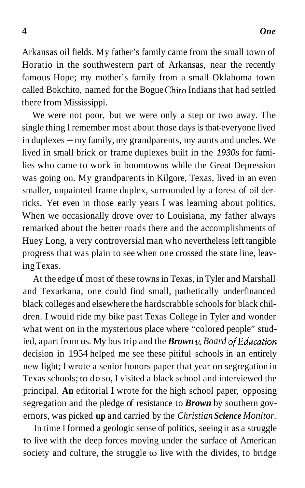Arkansas oil fields. My father's family came from the small town of Horatio in the southwestern part of Arkansas, near the recently famous Hope; my mother's family from a small Oklahoma town called Bokchito, named for the Bogue Chito Indians that had settled there from Mississippi.

We were not poor, but we were only a step or two away. The single thing I remember most about those days is that-everyone lived in duplexes - my family, my grandparents, my aunts and uncles. We lived in small brick or frame duplexes built in the *1930s* for families who came to work in boomtowns while the Great Depression was going on. My grandparents in Kilgore, Texas, lived in an even smaller, unpainted frame duplex, surrounded by a forest of oil derricks. Yet even in those early years I was learning about politics. When we occasionally drove over to Louisiana, my father always remarked about the better roads there and the accomplishments of Huey Long, a very controversial man who nevertheless left tangible progress that was plain to see when one crossed the state line, leaving Texas.

At the edge of most of these towns in Texas, in Tyler and Marshall and Texarkana, one could find small, pathetically underfinanced black colleges and elsewhere the hardscrabble schools for black children. I would ride my bike past Texas College in Tyler and wonder what went on in the mysterious place where "colored people" studied, apart from us. My bus trip and the **Brown** *v***.** Board of Education decision in 1954 helped me see these pitiful schools in an entirely new light; I wrote a senior honors paper that year on segregation in Texas schools; to do so, I visited a black school and interviewed the principal. **An** editorial I wrote for the high school paper, opposing segregation and the pledge of resistance to *Brown* by southern governors, was picked **up** and carried by the *Christian Science Monitor.* 

In time I formed a geologic sense of politics, seeing it as a struggle to live with the deep forces moving under the surface of American society and culture, the struggle to live with the divides, to bridge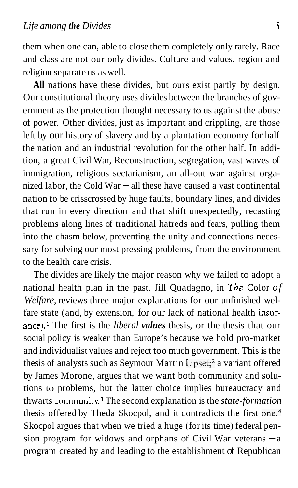them when one can, able to close them completely only rarely. Race and class are not our only divides. Culture and values, region and religion separate us as well.

**All** nations have these divides, but ours exist partly by design. Our constitutional theory uses divides between the branches of government as the protection thought necessary to us against the abuse of power. Other divides, just as important and crippling, are those left by our history of slavery and by a plantation economy for half the nation and an industrial revolution for the other half. In addition, a great Civil War, Reconstruction, segregation, vast waves of immigration, religious sectarianism, an all-out war against organized labor, the Cold War  $-$  all these have caused a vast continental nation to be crisscrossed by huge faults, boundary lines, and divides that run in every direction and that shift unexpectedly, recasting problems along lines of traditional hatreds and fears, pulling them into the chasm below, preventing the unity and connections necessary for solving our most pressing problems, from the environment to the health care crisis.

The divides are likely the major reason why we failed to adopt a national health plan in the past. Jill Quadagno, in *The* Color *of Welfare,* reviews three major explanations for our unfinished welfare state (and, by extension, for our lack of national health insurance).<sup>1</sup> The first is the *liberal values* thesis, or the thesis that our social policy is weaker than Europe's because we hold pro-market and individualist values and reject too much government. This is the thesis of analysts such as Seymour Martin Lipset; $<sup>2</sup>$  a variant offered</sup> by James Morone, argues that we want both community and solutions to problems, but the latter choice implies bureaucracy and thwarts community.<sup>3</sup> The second explanation is the *state-formation* thesis offered by Theda Skocpol, and it contradicts the first one.<sup>4</sup> Skocpol argues that when we tried a huge (for its time) federal pension program for widows and orphans of Civil War veterans  $-a$ program created by and leading to the establishment of Republican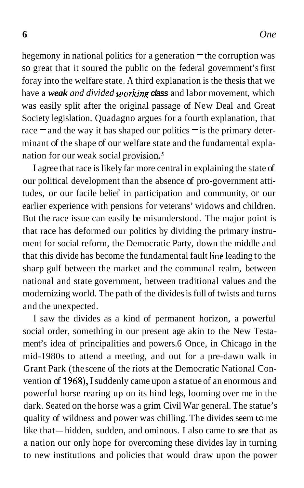hegemony in national politics for a generation  $\equiv$  the corruption was so great that it soured the public on the federal government's first foray into the welfare state. A third explanation is the thesis that we have a *weak and divided working class* and labor movement, which was easily split after the original passage of New Deal and Great Society legislation. Quadagno argues for a fourth explanation, that race  $\equiv$  and the way it has shaped our politics  $\equiv$  is the primary determinant of the shape of our welfare state and the fundamental explanation for our weak social provision.5

I agree that race is likely far more central in explaining the state of our political development than the absence of pro-government attitudes, or our facile belief in participation and community, or our earlier experience with pensions for veterans' widows and children. But the race issue can easily be misunderstood. The major point is that race has deformed our politics by dividing the primary instrument for social reform, the Democratic Party, down the middle and that this divide has become the fundamental fault line leading to the sharp gulf between the market and the communal realm, between national and state government, between traditional values and the modernizing world. The path of the divides is full of twists and turns and the unexpected.

I saw the divides as a kind of permanent horizon, a powerful social order, something in our present age akin to the New Testament's idea of principalities and powers.6 Once, in Chicago in the mid-1980s to attend a meeting, and out for a pre-dawn walk in Grant Park (the scene of the riots at the Democratic National Convention of **1968),** I suddenly came upon a statue of an enormous and powerful horse rearing up on its hind legs, looming over me in the dark. Seated on the horse was a grim Civil War general. The statue's quality of wildness and power was chilling. The divides seem to me like that- hidden, sudden, and ominous. I also came to *see* that as a nation our only hope for overcoming these divides lay in turning to new institutions and policies that would draw upon the power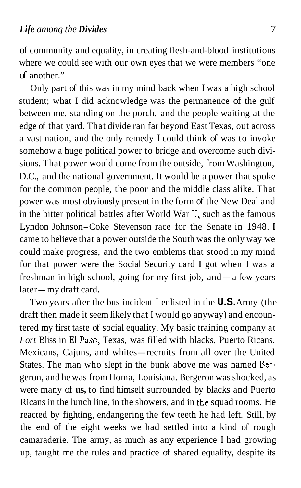of community and equality, in creating flesh-and-blood institutions where we could see with our own eyes that we were members "one of another."

Only part of this was in my mind back when I was a high school student; what I did acknowledge was the permanence of the gulf between me, standing on the porch, and the people waiting at the edge of that yard. That divide ran far beyond East Texas, out across a vast nation, and the only remedy I could think of was to invoke somehow a huge political power to bridge and overcome such divisions. That power would come from the outside, from Washington, D.C., and the national government. It would be a power that spoke for the common people, the poor and the middle class alike. That power was most obviously present in the form of the New Deal and in the bitter political battles after World War 11, such as the famous Lyndon Johnson-Coke Stevenson race for the Senate in 1948. **<sup>I</sup>** came to believe that a power outside the South was the only way we could make progress, and the two emblems that stood in my mind for that power were the Social Security card **I** got when I was a for that power were the Social Security card I got when I was a freshman in high school, going for my first job, and — a few years freshman in high scholater-my draft card.

Two years after the bus incident I enlisted in the **U.S.** Army (the draft then made it seem likely that I would go anyway) and encountered my first taste of social equality. My basic training company at Fort Bliss in El Paso, Texas, was filled with blacks, Puerto Ricans, Mexicans, Cajuns, and whites-recruits from all over the United States. The man who slept in the bunk above me was named Bergeron, and he was from Homa, Louisiana. Bergeron was shocked, as were many of **us,** to find himself surrounded by blacks and Puerto Ricans in the lunch line, in the showers, and in the squad rooms. He reacted by fighting, endangering the few teeth he had left. Still, by the end of the eight weeks we had settled into a kind of rough camaraderie. The army, as much as any experience I had growing up, taught me the rules and practice of shared equality, despite its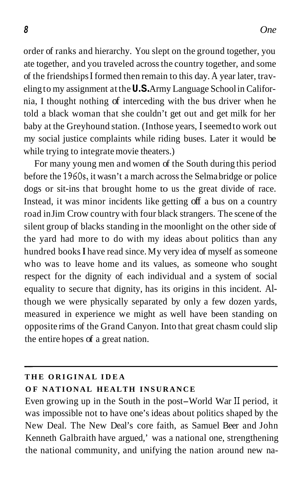order of ranks and hierarchy. You slept on the ground together, you ate together, and you traveled across the country together, and some of the friendships I formed then remain to this day. A year later, traveling to my assignment at the **U.S.** Army Language School in California, I thought nothing of interceding with the bus driver when he told a black woman that she couldn't get out and get milk for her baby at the Greyhound station. (In those years, I seemed to work out my social justice complaints while riding buses. Later it would be while trying to integrate movie theaters.)

For many young men and women of the South during this period before the 1960s, it wasn't a march across the Selma bridge or police dogs or sit-ins that brought home to us the great divide of race. Instead, it was minor incidents like getting off a bus on a country road in Jim Crow country with four black strangers. The scene of the silent group of blacks standing in the moonlight on the other side of the yard had more to do with my ideas about politics than any hundred books **I** have read since. My very idea of myself as someone who was to leave home and its values, as someone who sought respect for the dignity of each individual and a system of social equality to secure that dignity, has its origins in this incident. Although we were physically separated by only a few dozen yards, measured in experience we might as well have been standing on opposite rims of the Grand Canyon. Into that great chasm could slip the entire hopes of a great nation.

#### **THE ORIGINAL IDEA**

#### **OF NATIONAL HEALTH INSURANCE**

Even growing up in the South in the post-World War I1 period, it was impossible not to have one's ideas about politics shaped by the New Deal. The New Deal's core faith, as Samuel Beer and John Kenneth Galbraith have argued,' was a national one, strengthening the national community, and unifying the nation around new na-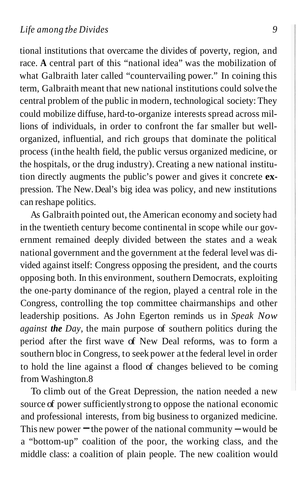tional institutions that overcame the divides of poverty, region, and race. **A** central part of this "national idea" was the mobilization of what Galbraith later called "countervailing power." In coining this term, Galbraith meant that new national institutions could solve the central problem of the public in modern, technological society: They could mobilize diffuse, hard-to-organize interests spread across millions of individuals, in order to confront the far smaller but wellorganized, influential, and rich groups that dominate the political process (in the health field, the public versus organized medicine, or the hospitals, or the drug industry). Creating a new national institution directly augments the public's power and gives it concrete **ex**pression. The New. Deal's big idea was policy, and new institutions can reshape politics.

As Galbraith pointed out, the American economy and society had in the twentieth century become continental in scope while our government remained deeply divided between the states and a weak national government and the government at the federal level was divided against itself: Congress opposing the president, and the courts opposing both. In this environment, southern Democrats, exploiting the one-party dominance of the region, played a central role in the Congress, controlling the top committee chairmanships and other leadership positions. As John Egerton reminds us in *Speak Now against the Day,* the main purpose of southern politics during the period after the first wave of New Deal reforms, was to form a southern bloc in Congress, to seek power at the federal level in order to hold the line against a flood of changes believed to be coming from Washington.8

To climb out of the Great Depression, the nation needed a new source of power sufficiently strong to oppose the national economic and professional interests, from big business to organized medicine.<br>This new power – the power of the national community – would be a "bottom-up" coalition of the poor, the working class, and the middle class: a coalition of plain people. The new coalition would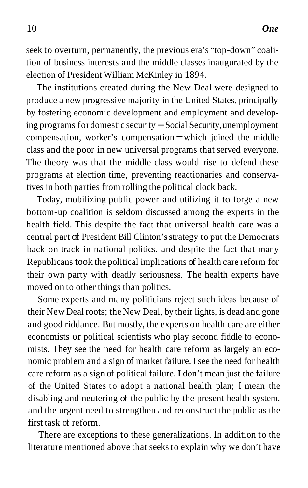seek to overturn, permanently, the previous era's "top-down" coalition of business interests and the middle classes inaugurated by the election of President William McKinley in 1894.

The institutions created during the New Deal were designed to produce a new progressive majority in the United States, principally by fostering economic development and employment and developing programs for domestic security - Social Security, unemployment compensation, worker's compensation  $\equiv$  which joined the middle class and the poor in new universal programs that served everyone. The theory was that the middle class would rise to defend these programs at election time, preventing reactionaries and conservatives in both parties from rolling the political clock back.

Today, mobilizing public power and utilizing it to forge a new bottom-up coalition is seldom discussed among the experts in the health field. This despite the fact that universal health care was a central part of President Bill Clinton's strategy to put the Democrats back on track in national politics, and despite the fact that many Republicans took the political implications of health care reform for their own party with deadly seriousness. The health experts have moved on to other things than politics.

Some experts and many politicians reject such ideas because of their New Deal roots; the New Deal, by their lights, is dead and gone and good riddance. But mostly, the experts on health care are either economists or political scientists who play second fiddle to economists. They see the need for health care reform as largely an economic problem and a sign of market failure. I see the need for health care reform as a sign of political failure. **I** don't mean just the failure of the United States to adopt a national health plan; I mean the disabling and neutering of the public by the present health system, and the urgent need to strengthen and reconstruct the public as the first task of reform.

There are exceptions to these generalizations. In addition to the literature mentioned above that seeks to explain why we don't have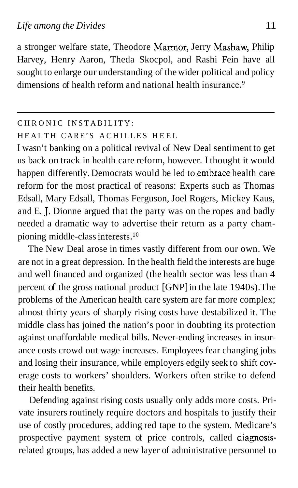a stronger welfare state, Theodore Marmor, Jerry Mashaw, Philip Harvey, Henry Aaron, Theda Skocpol, and Rashi Fein have all sought to enlarge our understanding of the wider political and policy dimensions of health reform and national health insurance. $9$ 

#### CHRONIC INSTABILITY:

### HEALTH CARE'S ACHILLES HEEL

I wasn't banking on a political revival of New Deal sentiment to get us back on track in health care reform, however. I thought it would happen differently. Democrats would be led to embrace health care reform for the most practical of reasons: Experts such as Thomas Edsall, Mary Edsall, Thomas Ferguson, Joel Rogers, Mickey Kaus, and E. J. Dionne argued that the party was on the ropes and badly needed a dramatic way to advertise their return as a party championing middle-class interests.<sup>10</sup>

The New Deal arose in times vastly different from our own. We are not in a great depression. In the health field the interests are huge and well financed and organized (the health sector was less than 4 percent of the gross national product [GNP] in the late 1940s). The problems of the American health care system are far more complex; almost thirty years of sharply rising costs have destabilized it. The middle class has joined the nation's poor in doubting its protection against unaffordable medical bills. Never-ending increases in insurance costs crowd out wage increases. Employees fear changing jobs and losing their insurance, while employers edgily seek to shift coverage costs to workers' shoulders. Workers often strike to defend their health benefits.

Defending against rising costs usually only adds more costs. Private insurers routinely require doctors and hospitals to justify their use of costly procedures, adding red tape to the system. Medicare's prospective payment system of price controls, called diagnosisrelated groups, has added a new layer of administrative personnel to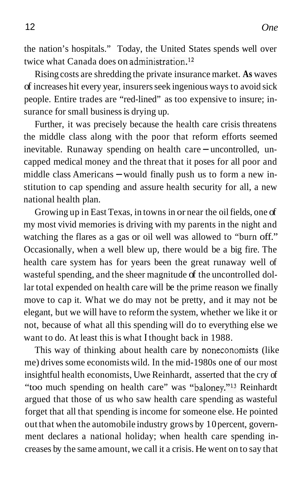the nation's hospitals." Today, the United States spends well over twice what Canada does on administration.<sup>12</sup>

Rising costs are shredding the private insurance market. **As** waves of increases hit every year, insurers seek ingenious ways to avoid sick people. Entire trades are "red-lined" as too expensive to insure; insurance for small business is drying up.

Further, it was precisely because the health care crisis threatens the middle class along with the poor that reform efforts seemed inevitable. Runaway spending on health care  $-$  uncontrolled, uncapped medical money and the threat that it poses for all poor and middle class Americans  $-$  would finally push us to form a new institution to cap spending and assure health security for all, a new national health plan.

Growing up in East Texas, in towns in or near the oil fields, one of my most vivid memories is driving with my parents in the night and watching the flares as a gas or oil well was allowed to "burn off." Occasionally, when a well blew up, there would be a big fire. The health care system has for years been the great runaway well of wasteful spending, and the sheer magnitude of the uncontrolled dollar total expended on health care will be the prime reason we finally move to cap it. What we do may not be pretty, and it may not be elegant, but we will have to reform the system, whether we like it or not, because of what all this spending will do to everything else we want to do. At least this is what I thought back in 1988.

This way of thinking about health care by noneconomists (like me) drives some economists wild. In the mid-1980s one of our most insightful health economists, Uwe Reinhardt, asserted that the cry of "too much spending on health care" was "baloney."<sup>13</sup> Reinhardt argued that those of us who saw health care spending as wasteful forget that all that spending is income for someone else. He pointed out that when the automobile industry grows by 10 percent, government declares a national holiday; when health care spending increases by the same amount, we call it a crisis. He went on to say that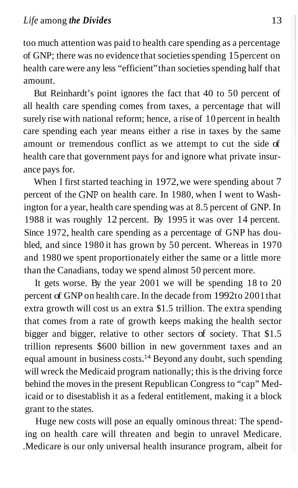too much attention was paid to health care spending as a percentage of GNP; there was no evidence that societies spending 15 percent on health care were any less "efficient" than societies spending half that amount.

But Reinhardt's point ignores the fact that 40 to 50 percent of all health care spending comes from taxes, a percentage that will surely rise with national reform; hence, a rise of 10 percent in health care spending each year means either a rise in taxes by the same amount or tremendous conflict as we attempt to cut the side of health care that government pays for and ignore what private insurance pays for.

When I first started teaching in 1972, we were spending about 7 percent of the *GNP* on health care. In 1980, when I went to Washington for a year, health care spending was at 8.5 percent of GNP. In 1988 it was roughly 12 percent. By 1995 it was over 14 percent. Since 1972, health care spending as a percentage of GNP has doubled, and since 1980 it has grown by 50 percent. Whereas in 1970 and 1980 we spent proportionately either the same or a little more than the Canadians, today we spend almost 50 percent more.

It gets worse. By the year 2001 we will be spending 18 to 20 percent of GNP on health care. In the decade from 1992 to 2001 that extra growth will cost us an extra \$1.5 trillion. The extra spending that comes from a rate of growth keeps making the health sector bigger and bigger, relative to other sectors of society. That \$1.5 trillion represents \$600 billion in new government taxes and an equal amount in business  $costs<sup>14</sup>$  Beyond any doubt, such spending will wreck the Medicaid program nationally; this is the driving force behind the moves in the present Republican Congress to "cap" Medicaid or to disestablish it as a federal entitlement, making it a block grant to the states.

Huge new costs will pose an equally ominous threat: The spending on health care will threaten and begin to unravel Medicare. .Medicare is our only universal health insurance program, albeit for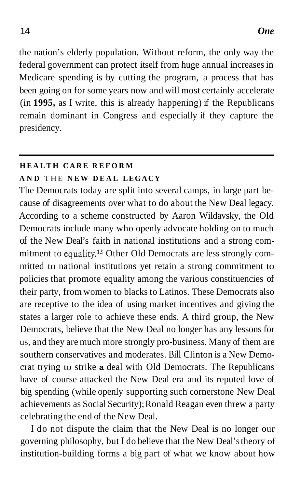the nation's elderly population. Without reform, the only way the federal government can protect itself from huge annual increases in Medicare spending is by cutting the program, a process that has been going on for some years now and will most certainly accelerate (in **1995,** as I write, this is already happening) if the Republicans remain dominant in Congress and especially if they capture the presidency.

## **HEALTH CARE REFORM**

### **AND** THE **NEW DEAL LEGACY**

The Democrats today are split into several camps, in large part because of disagreements over what to do about the New Deal legacy. According to a scheme constructed by Aaron Wildavsky, the Old Democrats include many who openly advocate holding on to much of the New Deal's faith in national institutions and a strong commitment to equality.<sup>15</sup> Other Old Democrats are less strongly committed to national institutions yet retain a strong commitment to policies that promote equality among the various constituencies of their party, from women to blacks to Latinos. These Democrats also are receptive to the idea of using market incentives and giving the states a larger role to achieve these ends. A third group, the New Democrats, believe that the New Deal no longer has any lessons for us, and they are much more strongly pro-business. Many of them are southern conservatives and moderates. Bill Clinton is a New Democrat trying to strike **a** deal with Old Democrats. The Republicans have of course attacked the New Deal era and its reputed love of big spending (while openly supporting such cornerstone New Deal achievements as Social Security); Ronald Reagan even threw a party celebrating the end of the New Deal.

I do not dispute the claim that the New Deal is no longer our governing philosophy, but I do believe that the New Deal's theory of institution-building forms a big part of what we know about how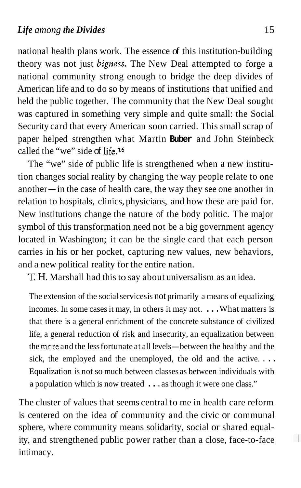national health plans work. The essence of this institution-building theory was not just *bigness*. The New Deal attempted to forge a national community strong enough to bridge the deep divides of American life and to do so by means of institutions that unified and held the public together. The community that the New Deal sought was captured in something very simple and quite small: the Social Security card that every American soon carried. This small scrap of paper helped strengthen what Martin **Buber** and John Steinbeck called the "we" side of life.16

The "we" side of public life is strengthened when a new institution changes social reality by changing the way people relate to one another— in the case of health care, the way they see one another in relation to hospitals, clinics, physicians, and how these are paid for. New institutions change the nature of the body politic. The major symbol of this transformation need not be a big government agency located in Washington; it can be the single card that each person carries in his or her pocket, capturing new values, new behaviors, and a new political reality for the entire nation.

T. H. Marshall had this to say about universalism as an idea.

The extension of the social services is not primarily a means of equalizing incomes. In some cases it may, in others it may not. . . . What matters is that there is a general enrichment of the concrete substance of civilized life, a general reduction of risk and insecurity, an equalization between the more and the less fortunate at all levels- between the healthy and the sick, the employed and the unemployed, the old and the active. . . . Equalization is not so much between classes as between individuals with a population which is now treated . . . as though it were one class."

The cluster of values that seems central to me in health care reform is centered on the idea of community and the civic or communal sphere, where community means solidarity, social or shared equality, and strengthened public power rather than a close, face-to-face intimacy.

 $\frac{1}{2}$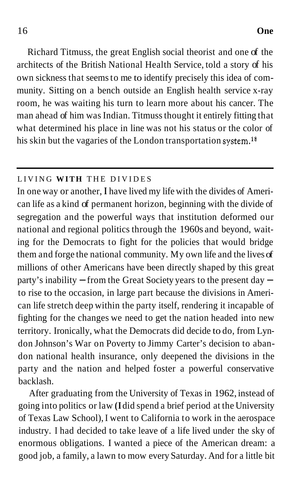Richard Titmuss, the great English social theorist and one of the architects of the British National Health Service, told a story of his own sickness that seems to me to identify precisely this idea of community. Sitting on a bench outside an English health service x-ray room, he was waiting his turn to learn more about his cancer. The man ahead of him was Indian. Titmuss thought it entirely fitting that what determined his place in line was not his status or the color of his skin but the vagaries of the London transportation system.<sup>18</sup>

### LIVING **WITH** THE DIVIDES

In one way or another, **I** have lived my life with the divides of American life as a kind of permanent horizon, beginning with the divide of segregation and the powerful ways that institution deformed our national and regional politics through the 1960s and beyond, waiting for the Democrats to fight for the policies that would bridge them and forge the national community. My own life and the lives of millions of other Americans have been directly shaped by this great party's inability  $-$  from the Great Society years to the present day  $$ to rise to the occasion, in large part because the divisions in American life stretch deep within the party itself, rendering it incapable of fighting for the changes we need to get the nation headed into new territory. Ironically, what the Democrats did decide to do, from Lyndon Johnson's War on Poverty to Jimmy Carter's decision to abandon national health insurance, only deepened the divisions in the party and the nation and helped foster a powerful conservative backlash.

After graduating from the University of Texas in 1962, instead of going into politics or law **(I** did spend a brief period at the University of Texas Law School), I went to California to work in the aerospace industry. I had decided to take leave of a life lived under the sky of enormous obligations. I wanted a piece of the American dream: a good job, a family, a lawn to mow every Saturday. And for a little bit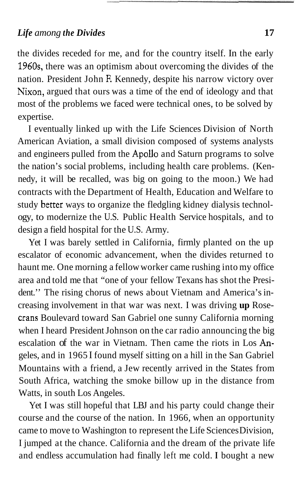## *Life among the Divides* **17**

the divides receded for me, and for the country itself. In the early 1960s, there was an optimism about overcoming the divides of the nation. President John F. Kennedy, despite his narrow victory over Nixon, argued that ours was a time of the end of ideology and that most of the problems we faced were technical ones, to be solved by expertise.

I eventually linked up with the Life Sciences Division of North American Aviation, a small division composed of systems analysts and engineers pulled from the Apollo and Saturn programs to solve the nation's social problems, including health care problems. (Kennedy, it will be recalled, was big on going to the moon.) We had contracts with the Department of Health, Education and Welfare to study better ways to organize the fledgling kidney dialysis technology, to modernize the U.S. Public Health Service hospitals, and to design a field hospital for the U.S. Army.

Yet I was barely settled in California, firmly planted on the up escalator of economic advancement, when the divides returned to haunt me. One morning a fellow worker came rushing into my office area and told me that "one of your fellow Texans has shot the President.'' The rising chorus of news about Vietnam and America's increasing involvement in that war was next. I was driving **up** Rosecrans Boulevard toward San Gabriel one sunny California morning when I heard President Johnson on the car radio announcing the big escalation of the war in Vietnam. Then came the riots in Los Angeles, and in 1965 I found myself sitting on a hill in the San Gabriel Mountains with a friend, a Jew recently arrived in the States from South Africa, watching the smoke billow up in the distance from Watts, in south Los Angeles.

Yet I was still hopeful that LBJ and his party could change their course and the course of the nation. In 1966, when an opportunity came to move to Washington to represent the Life Sciences Division, I jumped at the chance. California and the dream of the private life and endless accumulation had finally left me cold. **I** bought a new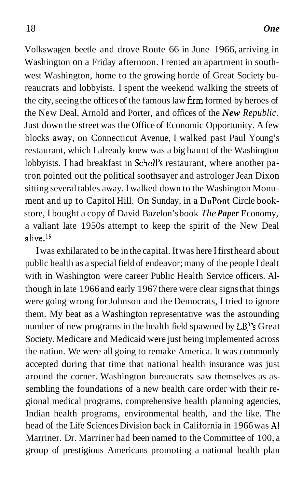Volkswagen beetle and drove Route 66 in June 1966, arriving in Washington on a Friday afternoon. I rented an apartment in southwest Washington, home to the growing horde of Great Society bureaucrats and lobbyists. I spent the weekend walking the streets of the city, seeing the offices of the famous law firm formed by heroes of the New Deal, Arnold and Porter, and offices of the *New Republic.*  Just down the street was the Office of Economic Opportunity. A few blocks away, on Connecticut Avenue, I walked past Paul Young's restaurant, which I already knew was a big haunt of the Washington lobbyists. I had breakfast in Scholl's restaurant, where another patron pointed out the political soothsayer and astrologer Jean Dixon sitting several tables away. I walked down to the Washington Monument and up to Capitol Hill. On Sunday, in a DuPont Circle bookstore, I bought a copy of David Bazelon's book *The Paper* Economy, a valiant late 1950s attempt to keep the spirit of the New Deal alive.<sup>19</sup>

I was exhilarated to be in the capital. It was here I first heard about public health as a special field of endeavor; many of the people I dealt with in Washington were career Public Health Service officers. Although in late 1966 and early 1967 there were clear signs that things were going wrong for Johnson and the Democrats, I tried to ignore them. My beat as a Washington representative was the astounding number of new programs in the health field spawned by LBJ's Great Society. Medicare and Medicaid were just being implemented across the nation. We were all going to remake America. It was commonly accepted during that time that national health insurance was just around the corner. Washington bureaucrats saw themselves as assembling the foundations of a new health care order with their regional medical programs, comprehensive health planning agencies, Indian health programs, environmental health, and the like. The head of the Life Sciences Division back in California in 1966 was **A1**  Marriner. Dr. Marriner had been named to the Committee of 100, a group of prestigious Americans promoting a national health plan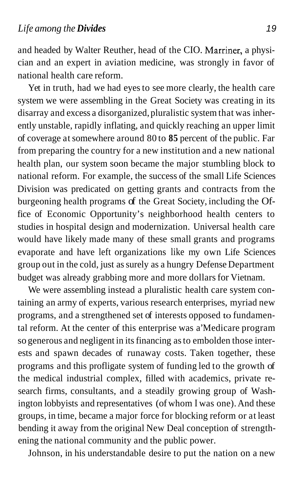and headed by Walter Reuther, head of the CIO. Marriner, a physician and an expert in aviation medicine, was strongly in favor of national health care reform.

Yet in truth, had we had eyes to see more clearly, the health care system we were assembling in the Great Society was creating in its disarray and excess a disorganized, pluralistic system that was inherently unstable, rapidly inflating, and quickly reaching an upper limit of coverage at somewhere around 80 to **85** percent of the public. Far from preparing the country for a new institution and a new national health plan, our system soon became the major stumbling block to national reform. For example, the success of the small Life Sciences Division was predicated on getting grants and contracts from the burgeoning health programs of the Great Society, including the Office of Economic Opportunity's neighborhood health centers to studies in hospital design and modernization. Universal health care would have likely made many of these small grants and programs evaporate and have left organizations like my own Life Sciences group out in the cold, just as surely as a hungry Defense Department budget was already grabbing more and more dollars for Vietnam.

We were assembling instead a pluralistic health care system containing an army of experts, various research enterprises, myriad new programs, and a strengthened set of interests opposed to fundamental reform. At the center of this enterprise was a' Medicare program so generous and negligent in its financing as to embolden those interests and spawn decades of runaway costs. Taken together, these programs and this profligate system of funding led to the growth of the medical industrial complex, filled with academics, private research firms, consultants, and a steadily growing group of Washington lobbyists and representatives (of whom I was one). And these groups, in time, became a major force for blocking reform or at least bending it away from the original New Deal conception of strengthening the national community and the public power.

Johnson, in his understandable desire to put the nation on a new